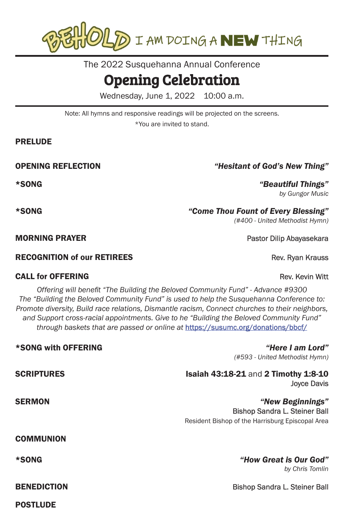

The 2022 Susquehanna Annual Conference

## Opening Celebration

Wednesday, June 1, 2022 10:00 a.m.

Note: All hymns and responsive readings will be projected on the screens.

\*You are invited to stand.

#### PRELUDE

**MORNING PRAYER Pastor Dilip Abayasekara** Pastor Dilip Abayasekara

#### RECOGNITION of our RETIREES **Rev. Rev. Ryan Krauss** Rev. Ryan Krauss

#### **CALL for OFFERING Rev. Kevin Witt**

POSTLUDE

*Offering will benefit "The Building the Beloved Community Fund" - Advance #9300 The "Building the Beloved Community Fund" is used to help the Susquehanna Conference to: Promote diversity, Build race relations, Dismantle racism, Connect churches to their neighbors, and Support cross-racial appointments. Give to he "Building the Beloved Community Fund" through baskets that are passed or online at* https://susumc.org/donations/bbcf/

| *SONG with OFFERING | "Here I am Lord"<br>(#593 - United Methodist Hymn)                                                           |
|---------------------|--------------------------------------------------------------------------------------------------------------|
| <b>SCRIPTURES</b>   | <b>Isaiah 43:18-21 and 2 Timothy 1:8-10</b><br><b>Joyce Davis</b>                                            |
| <b>SERMON</b>       | "New Beginnings"<br><b>Bishop Sandra L. Steiner Ball</b><br>Resident Bishop of the Harrisburg Episcopal Area |
| <b>COMMUNION</b>    |                                                                                                              |
| *SONG               | "How Great is Our God"<br>by Chris Tomlin                                                                    |
| <b>BENEDICTION</b>  | <b>Bishop Sandra L. Steiner Ball</b>                                                                         |

### OPENING REFLECTION *"Hesitant of God's New Thing"*

\*SONG *"Beautiful Things" by Gungor Music*

\*SONG *"Come Thou Fount of Every Blessing"*

*(#400 - United Methodist Hymn)*